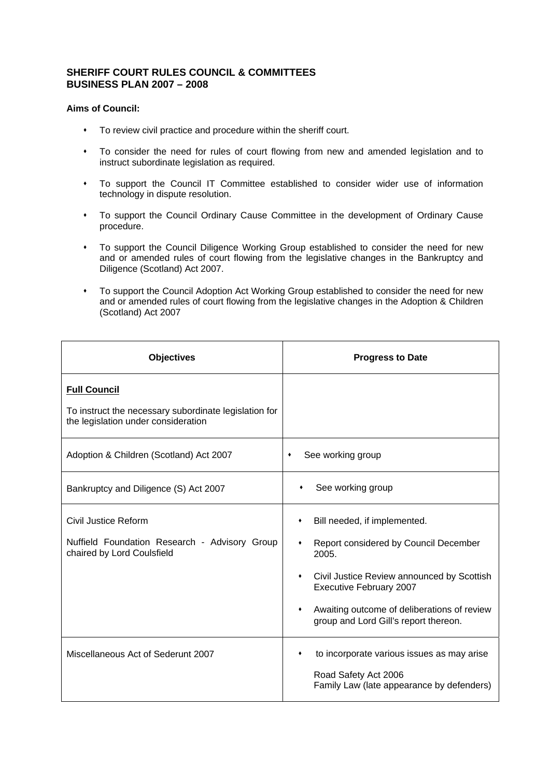## **SHERIFF COURT RULES COUNCIL & COMMITTEES BUSINESS PLAN 2007 – 2008**

## **Aims of Council:**

- To review civil practice and procedure within the sheriff court.
- To consider the need for rules of court flowing from new and amended legislation and to instruct subordinate legislation as required.
- To support the Council IT Committee established to consider wider use of information technology in dispute resolution.
- To support the Council Ordinary Cause Committee in the development of Ordinary Cause procedure.
- To support the Council Diligence Working Group established to consider the need for new and or amended rules of court flowing from the legislative changes in the Bankruptcy and Diligence (Scotland) Act 2007.
- To support the Council Adoption Act Working Group established to consider the need for new and or amended rules of court flowing from the legislative changes in the Adoption & Children (Scotland) Act 2007

| <b>Objectives</b>                                                                                                   | <b>Progress to Date</b>                                                                                                                                                                                                                              |
|---------------------------------------------------------------------------------------------------------------------|------------------------------------------------------------------------------------------------------------------------------------------------------------------------------------------------------------------------------------------------------|
| <b>Full Council</b><br>To instruct the necessary subordinate legislation for<br>the legislation under consideration |                                                                                                                                                                                                                                                      |
| Adoption & Children (Scotland) Act 2007                                                                             | See working group                                                                                                                                                                                                                                    |
| Bankruptcy and Diligence (S) Act 2007                                                                               | See working group                                                                                                                                                                                                                                    |
| Civil Justice Reform<br>Nuffield Foundation Research - Advisory Group<br>chaired by Lord Coulsfield                 | Bill needed, if implemented.<br>Report considered by Council December<br>2005.<br>Civil Justice Review announced by Scottish<br>٠<br>Executive February 2007<br>Awaiting outcome of deliberations of review<br>group and Lord Gill's report thereon. |
| Miscellaneous Act of Sederunt 2007                                                                                  | to incorporate various issues as may arise<br>Road Safety Act 2006<br>Family Law (late appearance by defenders)                                                                                                                                      |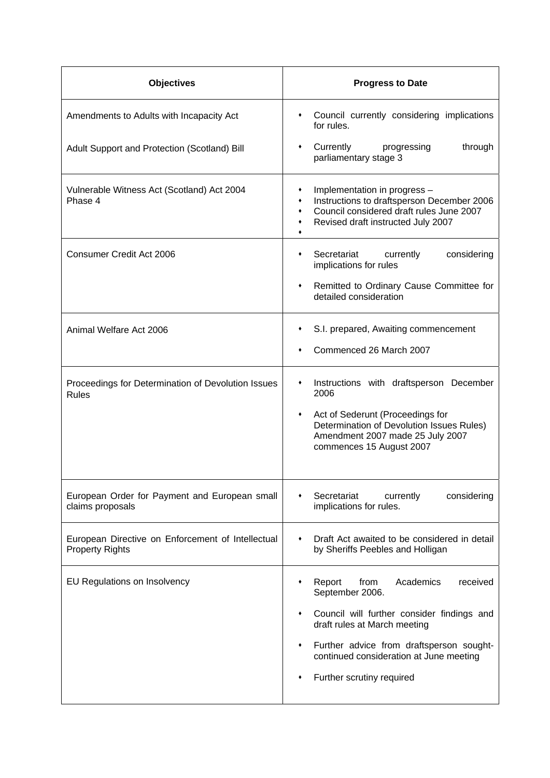| <b>Objectives</b>                                                           | <b>Progress to Date</b>                                                                                                                                                                                                                                                |
|-----------------------------------------------------------------------------|------------------------------------------------------------------------------------------------------------------------------------------------------------------------------------------------------------------------------------------------------------------------|
| Amendments to Adults with Incapacity Act                                    | Council currently considering implications<br>٠<br>for rules.                                                                                                                                                                                                          |
| Adult Support and Protection (Scotland) Bill                                | Currently<br>progressing<br>through<br>٠<br>parliamentary stage 3                                                                                                                                                                                                      |
| Vulnerable Witness Act (Scotland) Act 2004<br>Phase 4                       | Implementation in progress -<br>٠<br>Instructions to draftsperson December 2006<br>٠<br>Council considered draft rules June 2007<br>٠<br>Revised draft instructed July 2007<br>٠                                                                                       |
| Consumer Credit Act 2006                                                    | Secretariat<br>currently<br>considering<br>٠<br>implications for rules                                                                                                                                                                                                 |
|                                                                             | Remitted to Ordinary Cause Committee for<br>٠<br>detailed consideration                                                                                                                                                                                                |
| Animal Welfare Act 2006                                                     | S.I. prepared, Awaiting commencement<br>Commenced 26 March 2007                                                                                                                                                                                                        |
| Proceedings for Determination of Devolution Issues<br><b>Rules</b>          | Instructions with draftsperson December<br>٠<br>2006<br>Act of Sederunt (Proceedings for<br>٠<br>Determination of Devolution Issues Rules)<br>Amendment 2007 made 25 July 2007<br>commences 15 August 2007                                                             |
| European Order for Payment and European small<br>claims proposals           | Secretariat<br>currently<br>considering<br>implications for rules.                                                                                                                                                                                                     |
| European Directive on Enforcement of Intellectual<br><b>Property Rights</b> | Draft Act awaited to be considered in detail<br>٠<br>by Sheriffs Peebles and Holligan                                                                                                                                                                                  |
| EU Regulations on Insolvency                                                | Academics<br>Report<br>from<br>received<br>September 2006.<br>Council will further consider findings and<br>٠<br>draft rules at March meeting<br>Further advice from draftsperson sought-<br>٠<br>continued consideration at June meeting<br>Further scrutiny required |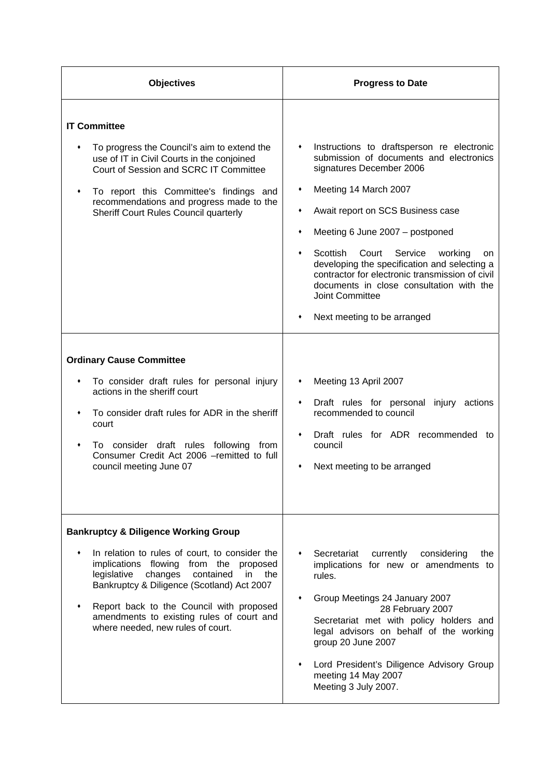| <b>Objectives</b>                                                                                                                                                                                                                                                                                                                                                                                                                                                                                                                                                                                    | <b>Progress to Date</b>                                                                                                                                                                                                                                                                                                                                                                                                                                                                                                                                                                                                                                                                 |
|------------------------------------------------------------------------------------------------------------------------------------------------------------------------------------------------------------------------------------------------------------------------------------------------------------------------------------------------------------------------------------------------------------------------------------------------------------------------------------------------------------------------------------------------------------------------------------------------------|-----------------------------------------------------------------------------------------------------------------------------------------------------------------------------------------------------------------------------------------------------------------------------------------------------------------------------------------------------------------------------------------------------------------------------------------------------------------------------------------------------------------------------------------------------------------------------------------------------------------------------------------------------------------------------------------|
| <b>IT Committee</b><br>To progress the Council's aim to extend the<br>use of IT in Civil Courts in the conjoined<br>Court of Session and SCRC IT Committee<br>To report this Committee's findings and<br>٠<br>recommendations and progress made to the<br>Sheriff Court Rules Council quarterly<br><b>Ordinary Cause Committee</b><br>To consider draft rules for personal injury<br>actions in the sheriff court<br>To consider draft rules for ADR in the sheriff<br>court<br>To consider draft rules following from<br>٠<br>Consumer Credit Act 2006 -remitted to full<br>council meeting June 07 | Instructions to draftsperson re electronic<br>submission of documents and electronics<br>signatures December 2006<br>Meeting 14 March 2007<br>٠<br>Await report on SCS Business case<br>٠<br>Meeting 6 June 2007 - postponed<br>٠<br>Scottish<br>Court<br>Service<br>working<br>on<br>developing the specification and selecting a<br>contractor for electronic transmission of civil<br>documents in close consultation with the<br><b>Joint Committee</b><br>Next meeting to be arranged<br>Meeting 13 April 2007<br>Draft rules for personal injury actions<br>٠<br>recommended to council<br>Draft rules for ADR recommended to<br>٠<br>council<br>Next meeting to be arranged<br>٠ |
| <b>Bankruptcy &amp; Diligence Working Group</b><br>In relation to rules of court, to consider the<br>implications flowing<br>from the proposed<br>legislative<br>changes<br>contained<br>in<br>the<br>Bankruptcy & Diligence (Scotland) Act 2007<br>Report back to the Council with proposed<br>amendments to existing rules of court and<br>where needed, new rules of court.                                                                                                                                                                                                                       | Secretariat<br>currently<br>considering<br>the<br>implications for new or amendments to<br>rules.<br>Group Meetings 24 January 2007<br>28 February 2007<br>Secretariat met with policy holders and<br>legal advisors on behalf of the working<br>group 20 June 2007<br>Lord President's Diligence Advisory Group<br>meeting 14 May 2007<br>Meeting 3 July 2007.                                                                                                                                                                                                                                                                                                                         |